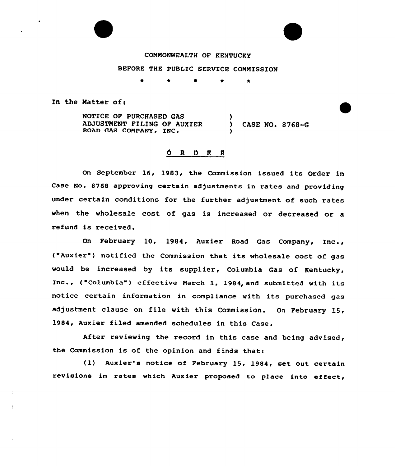# COMMONWEALTH OF KENTUCKY

## BEFORE THE PUBLIC SERVICE COMMISSION

 $\bullet$  $\bullet$ 

In the Natter of:

NOTICE OF PURCHASED GAS ADJUSTMENT FILING OF AUXIER (D) CASE NO. 8768-G<br>ROAD GAS COMPANY, INC. (D) )

## $0 R D E R$

On September 16, 1983, the Commission issued its Order in Case No. 8768 approving certain adjustments in rates and providing under certain conditions for the further adjustment of such rates when the wholesale cost of gas is increased or decreased or a refund is received.

On February 10, 1984, Aux ier Road Gas Company, Inc., ( Aux ier" } notif ied the Commission that its wholesale cost of gas would be increased by its supplier, Columbia Gas of Kentucky, Inc., ("Columbia") effective March 1, 1984, and submitted with its notice certain information in compliance with its purchased gas adjustment clause on file with this Commission. On February 15, 1984, Auxier filed amended schedules in this Case.

After reviewing the record in this case and being advised, the Commission is of the opinion and finds that:

( 1) Auxier's notice of February 15, 1984, set out certain revisions in rates which Auxier proposed to place into effect,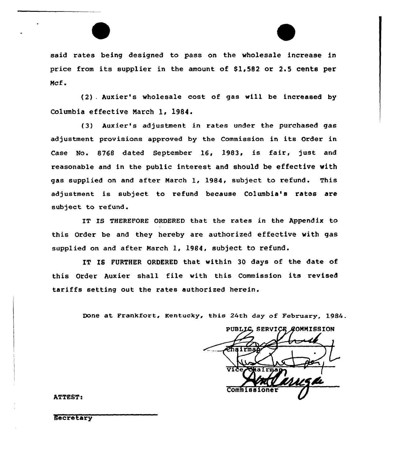said rates being designed to pass on the wholesale increase in price from its supplier in the amount of  $$1,582$  or 2.5 cents per Mcf.

(2) . Auxier''s wholesale cost of gas will be increased by Columbia effective March 1, 1984.

(3) Auxier's adjustment in rates under the purchased gas adjustment provisions approved by the Commission in its Order in Case No. 8768 dated September 16, 1983, is fair, just and reasonable and in the public interest and should be effective with gas supplied on and after March 1, 1984, subject to refund. This adjustment is subject to refund because Columbia's ratos are subject to refund .

IT IS THEREFORE ORDERED that the rates in the Appendix to this Order be and they hereby are authorized effective with gas supplied on and after March 1, 1984, subject to refund.

IT IS FURTHER ORDERED that within 30 days of the date of this Order Auxier shall file with this Commission its revised tariffs setting out the rates authorized herein.

Done at Frankfort, Kentucky, this 24th day of February, 1984.

PUBLIC SERVICE COMMISSION Vike Comm<sub>1</sub>

ATTEST:

Secretary